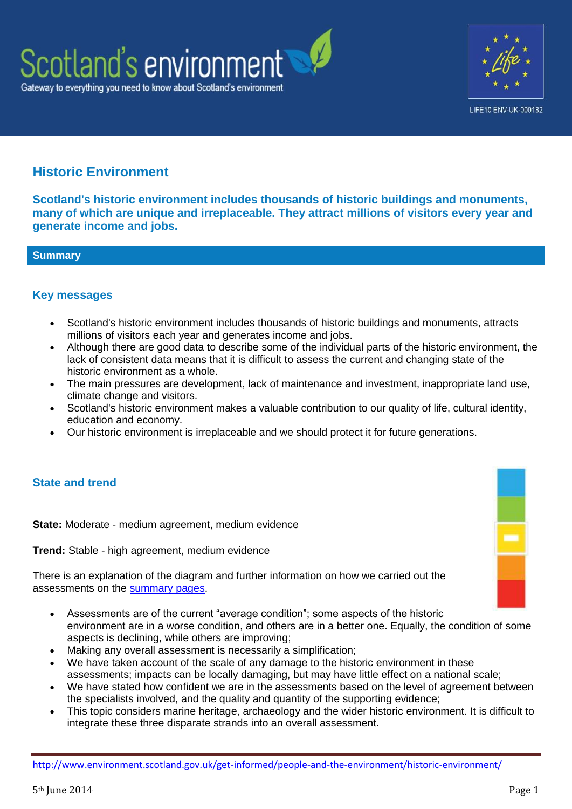



# **Historic Environment**

**Scotland's historic environment includes thousands of historic buildings and monuments, many of which are unique and irreplaceable. They attract millions of visitors every year and generate income and jobs.**

# **Summary**

# **Key messages**

- Scotland's historic environment includes thousands of historic buildings and monuments, attracts millions of visitors each year and generates income and jobs.
- Although there are good data to describe some of the individual parts of the historic environment, the lack of consistent data means that it is difficult to assess the current and changing state of the historic environment as a whole.
- The main pressures are development, lack of maintenance and investment, inappropriate land use, climate change and visitors.
- Scotland's historic environment makes a valuable contribution to our quality of life, cultural identity, education and economy.
- Our historic environment is irreplaceable and we should protect it for future generations.

# **State and trend**

**State:** Moderate - medium agreement, medium evidence

**Trend:** Stable - high agreement, medium evidence

There is an explanation of the diagram and further information on how we carried out the assessments on the [summary pages.](http://www.environment.scotland.gov.uk/get-informed/state-of-the-environment-summary/state-and-trend-assessments/)

- Assessments are of the current "average condition"; some aspects of the historic environment are in a worse condition, and others are in a better one. Equally, the condition of some aspects is declining, while others are improving;
- Making any overall assessment is necessarily a simplification;
- We have taken account of the scale of any damage to the historic environment in these assessments; impacts can be locally damaging, but may have little effect on a national scale;
- We have stated how confident we are in the assessments based on the level of agreement between the specialists involved, and the quality and quantity of the supporting evidence;
- This topic considers marine heritage, archaeology and the wider historic environment. It is difficult to integrate these three disparate strands into an overall assessment.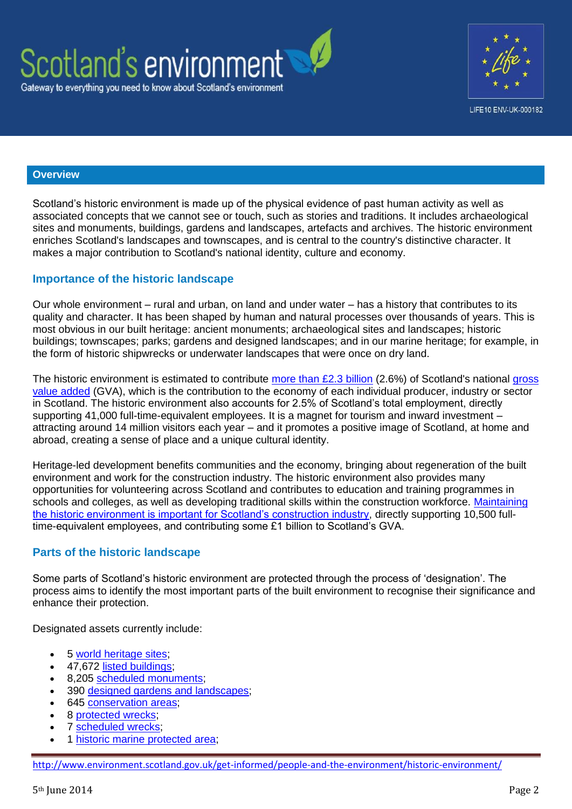



## **Overview**

Scotland's historic environment is made up of the physical evidence of past human activity as well as associated concepts that we cannot see or touch, such as stories and traditions. It includes archaeological sites and monuments, buildings, gardens and landscapes, artefacts and archives. The historic environment enriches Scotland's landscapes and townscapes, and is central to the country's distinctive character. It makes a major contribution to Scotland's national identity, culture and economy.

# **Importance of the historic landscape**

Our whole environment – rural and urban, on land and under water – has a history that contributes to its quality and character. It has been shaped by human and natural processes over thousands of years. This is most obvious in our built heritage: ancient monuments; archaeological sites and landscapes; historic buildings; townscapes; parks; gardens and designed landscapes; and in our marine heritage; for example, in the form of historic shipwrecks or underwater landscapes that were once on dry land.

The historic environment is estimated to contribute [more than £2.3 billion](http://www.heacs.org.uk/documents/2009/ecotec.pdf) (2.6%) of Scotland's national gross [value added](http://www.ons.gov.uk/ons/guide-method/method-quality/specific/economy/national-accounts/gva/index.html) (GVA), which is the contribution to the economy of each individual producer, industry or sector in Scotland. The historic environment also accounts for 2.5% of Scotland's total employment, directly supporting 41,000 full-time-equivalent employees. It is a magnet for tourism and inward investment – attracting around 14 million visitors each year – and it promotes a positive image of Scotland, at home and abroad, creating a sense of place and a unique cultural identity.

Heritage-led development benefits communities and the economy, bringing about regeneration of the built environment and work for the construction industry. The historic environment also provides many opportunities for volunteering across Scotland and contributes to education and training programmes in schools and colleges, as well as developing traditional skills within the construction workforce. Maintaining [the historic environment is important for Scotland's construction industry,](http://www.historic-scotland.gov.uk/reconomiimpact-ecorys2013.pdf) directly supporting 10,500 fulltime-equivalent employees, and contributing some £1 billion to Scotland's GVA.

# **Parts of the historic landscape**

Some parts of Scotland's historic environment are protected through the process of 'designation'. The process aims to identify the most important parts of the built environment to recognise their significance and enhance their protection.

Designated assets currently include:

- 5 [world heritage sites;](http://www.historic-scotland.gov.uk/index/heritage/worldheritage/world-heritage-sites-in-scotland.htm)
- 47,672 [listed buildings;](http://www.historic-scotland.gov.uk/index/heritage/historicandlistedbuildings.htm)
- 8,205 [scheduled monuments;](http://www.historic-scotland.gov.uk/index/heritage/searchmonuments.htm)
- 390 [designed gardens and landscapes;](http://www.historic-scotland.gov.uk/index/heritage/gardens.htm)
- 645 [conservation areas;](http://www.scotland.gov.uk/resource/Doc/37428/0009675.pdf)
- 8 [protected wrecks;](http://www.historic-scotland.gov.uk/index/heritage/wrecksites.htm)
- 7 [scheduled wrecks;](http://www.historic-scotland.gov.uk/index/heritage/wrecksites/scotlands-historic-wrecks.htm)
- 1 [historic marine protected area;](http://www.historic-scotland.gov.uk/index/heritage/wrecksites/scotlands-historic-wrecks.htm)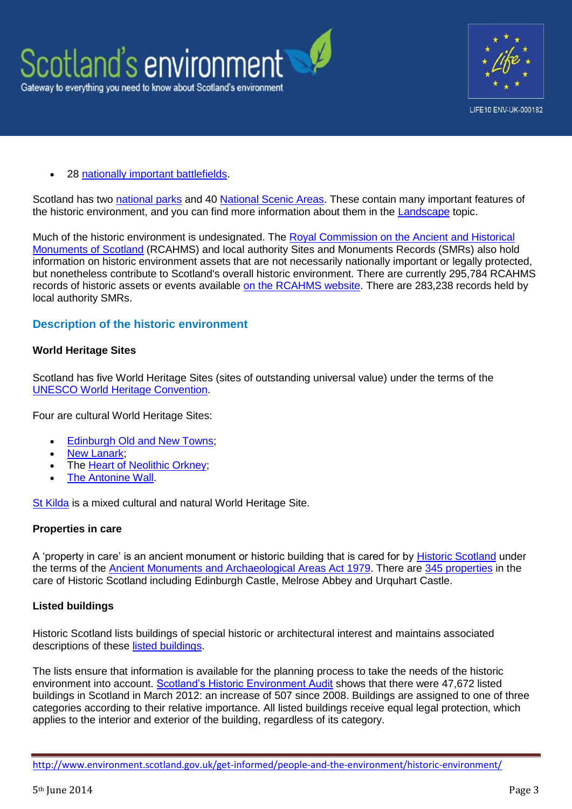



28 [nationally important battlefields.](http://www.historic-scotland.gov.uk/index/heritage/battlefields.htm)

Scotland has two [national parks](http://www.nationalparks.gov.uk/) and 40 [National Scenic Areas.](http://www.scotland.gov.uk/resource/Doc/1051/0058088.pdf) These contain many important features of the historic environment, and you can find more information about them in the [Landscape](http://www.environment.scotland.gov.uk/get-informed/land/landscape/) topic.

Much of the historic environment is undesignated. The Royal Commission on the Ancient and Historical [Monuments of Scotland](http://www.rcahms.gov.uk/) (RCAHMS) and local authority Sites and Monuments Records (SMRs) also hold information on historic environment assets that are not necessarily nationally important or legally protected, but nonetheless contribute to Scotland's overall historic environment. There are currently 295,784 RCAHMS records of historic assets or events available [on the RCAHMS website.](http://www.rcahms.gov.uk/search.html) There are 283,238 records held by local authority SMRs.

# **Description of the historic environment**

#### **World Heritage Sites**

Scotland has five World Heritage Sites (sites of outstanding universal value) under the terms of the [UNESCO World Heritage Convention.](http://whc.unesco.org/en/conventiontext)

Four are cultural World Heritage Sites:

- [Edinburgh Old and New Towns;](http://www.historic-scotland.gov.uk/index/heritage/worldheritage/world-heritage-sites-in-scotland/old-and-new-towns-of-edinburgh.htm)
- [New Lanark;](http://www.historic-scotland.gov.uk/index/heritage/worldheritage/world-heritage-sites-in-scotland/new-lanark.htm)
- The [Heart of Neolithic Orkney;](http://www.historic-scotland.gov.uk/index/heritage/worldheritage/world-heritage-sites-in-scotland/neolithic-orkney.htm)
- [The Antonine Wall.](http://www.historic-scotland.gov.uk/index/heritage/worldheritage/world-heritage-sites-in-scotland/antoninewall.htm)

[St Kilda](http://www.historic-scotland.gov.uk/index/heritage/worldheritage/world-heritage-sites-in-scotland/st-kilda.htm) is a mixed cultural and natural World Heritage Site.

#### **Properties in care**

A 'property in care' is an ancient monument or historic building that is cared for by [Historic Scotland](http://www.historic-scotland.gov.uk/index/places/propertysearch/aboutourproperties.htm) under the terms of the [Ancient Monuments and Archaeological Areas Act 1979.](http://www.legislation.gov.uk/ukpga/1979/46) There are [345 properties](http://www.historic-scotland.gov.uk/index/places/managedproperties.htm) in the care of Historic Scotland including Edinburgh Castle, Melrose Abbey and Urquhart Castle.

## **Listed buildings**

Historic Scotland lists buildings of special historic or architectural interest and maintains associated descriptions of these [listed buildings.](http://www.historic-scotland.gov.uk/historicandlistedbuildings)

The lists ensure that information is available for the planning process to take the needs of the historic environment into account. [Scotland's Historic Environment Audit](http://www.historic-scotland.gov.uk/heritageaudit) shows that there were 47,672 listed buildings in Scotland in March 2012: an increase of 507 since 2008. Buildings are assigned to one of three categories according to their relative importance. All listed buildings receive equal legal protection, which applies to the interior and exterior of the building, regardless of its category.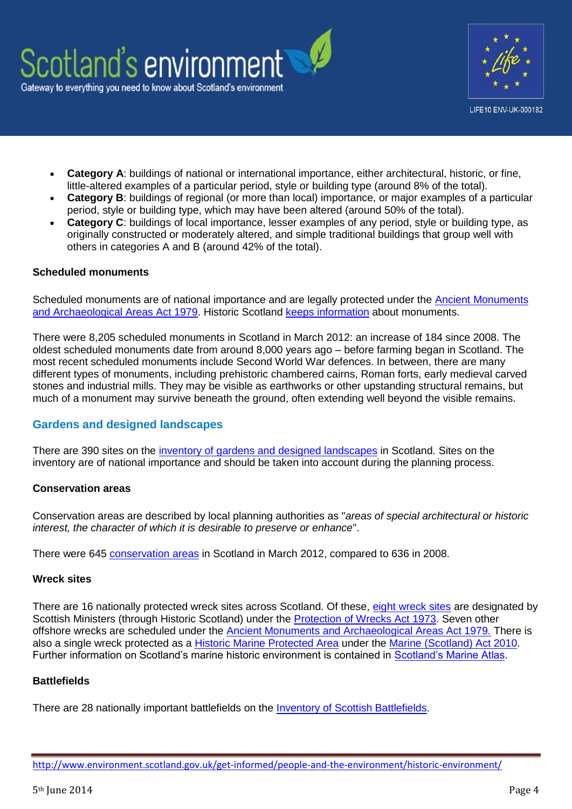

- **Category A**: buildings of national or international importance, either architectural, historic, or fine, little-altered examples of a particular period, style or building type (around 8% of the total).
- **Category B**: buildings of regional (or more than local) importance, or major examples of a particular period, style or building type, which may have been altered (around 50% of the total).
- **Category C**: buildings of local importance, lesser examples of any period, style or building type, as originally constructed or moderately altered, and simple traditional buildings that group well with others in categories A and B (around 42% of the total).

#### **Scheduled monuments**

Scheduled monuments are of national importance and are legally protected under the Ancient Monuments [and Archaeological Areas Act 1979.](http://www.legislation.gov.uk/ukpga/1979/46) Historic Scotland [keeps information](http://data.historic-scotland.gov.uk/pls/htmldb/f?p=2000:10:0) about monuments.

There were 8,205 scheduled monuments in Scotland in March 2012: an increase of 184 since 2008. The oldest scheduled monuments date from around 8,000 years ago – before farming began in Scotland. The most recent scheduled monuments include Second World War defences. In between, there are many different types of monuments, including prehistoric chambered cairns, Roman forts, early medieval carved stones and industrial mills. They may be visible as earthworks or other upstanding structural remains, but much of a monument may survive beneath the ground, often extending well beyond the visible remains.

# **Gardens and designed landscapes**

There are 390 sites on the [inventory of gardens and designed landscapes](http://www.historic-scotland.gov.uk/index/heritage/gardens.htm) in Scotland. Sites on the inventory are of national importance and should be taken into account during the planning process.

#### **Conservation areas**

Conservation areas are described by local planning authorities as "*areas of special architectural or historic interest, the character of which it is desirable to preserve or enhance*".

There were 645 [conservation areas](http://www.scotland.gov.uk/Publications/2005/03/29141519/15200) in Scotland in March 2012, compared to 636 in 2008.

#### **Wreck sites**

There are 16 nationally protected wreck sites across Scotland. Of these, [eight wreck sites](http://www.historic-scotland.gov.uk/index/heritage/wrecksites.htm) are designated by Scottish Ministers (through Historic Scotland) under the [Protection of Wrecks Act 1973.](http://www.legislation.gov.uk/ukpga/1973/33) Seven other offshore wrecks are scheduled under the [Ancient Monuments and Archaeological Areas Act 1979](http://www.legislation.gov.uk/ukpga/1979/46)*.* There is also a single wreck protected as a [Historic Marine Protected Area](http://www.historic-scotland.gov.uk/index/heritage/wrecksites.htm) under the [Marine \(Scotland\) Act 2010.](http://www.scotland.gov.uk/Topics/marine/seamanagement/marineact) Further information on Scotland's marine historic environment is contained in [Scotland's Marine Atlas.](http://www.scotland.gov.uk/Publications/2011/03/16182005/0)

#### **Battlefields**

There are 28 nationally important battlefields on the [Inventory of Scottish Battlefields.](http://www.historic-scotland.gov.uk/index/heritage/battlefields/battlefieldinventory.htm)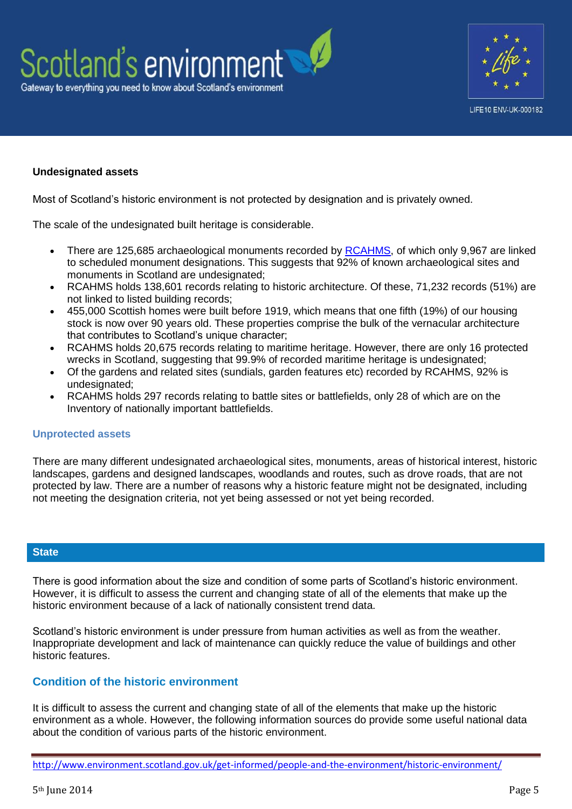



# **Undesignated assets**

Most of Scotland's historic environment is not protected by designation and is privately owned.

The scale of the undesignated built heritage is considerable.

- There are 125,685 archaeological monuments recorded by [RCAHMS,](http://www.rcahms.gov.uk/) of which only 9,967 are linked to scheduled monument designations. This suggests that 92% of known archaeological sites and monuments in Scotland are undesignated:
- RCAHMS holds 138,601 records relating to historic architecture. Of these, 71,232 records (51%) are not linked to listed building records;
- 455,000 Scottish homes were built before 1919, which means that one fifth (19%) of our housing stock is now over 90 years old. These properties comprise the bulk of the vernacular architecture that contributes to Scotland's unique character;
- RCAHMS holds 20,675 records relating to maritime heritage. However, there are only 16 protected wrecks in Scotland, suggesting that 99.9% of recorded maritime heritage is undesignated;
- Of the gardens and related sites (sundials, garden features etc) recorded by RCAHMS, 92% is undesignated:
- RCAHMS holds 297 records relating to battle sites or battlefields, only 28 of which are on the Inventory of nationally important battlefields.

## **Unprotected assets**

There are many different undesignated archaeological sites, monuments, areas of historical interest, historic landscapes, gardens and designed landscapes, woodlands and routes, such as drove roads, that are not protected by law. There are a number of reasons why a historic feature might not be designated, including not meeting the designation criteria, not yet being assessed or not yet being recorded.

## **State**

There is good information about the size and condition of some parts of Scotland's historic environment. However, it is difficult to assess the current and changing state of all of the elements that make up the historic environment because of a lack of nationally consistent trend data.

Scotland's historic environment is under pressure from human activities as well as from the weather. Inappropriate development and lack of maintenance can quickly reduce the value of buildings and other historic features.

# **Condition of the historic environment**

It is difficult to assess the current and changing state of all of the elements that make up the historic environment as a whole. However, the following information sources do provide some useful national data about the condition of various parts of the historic environment.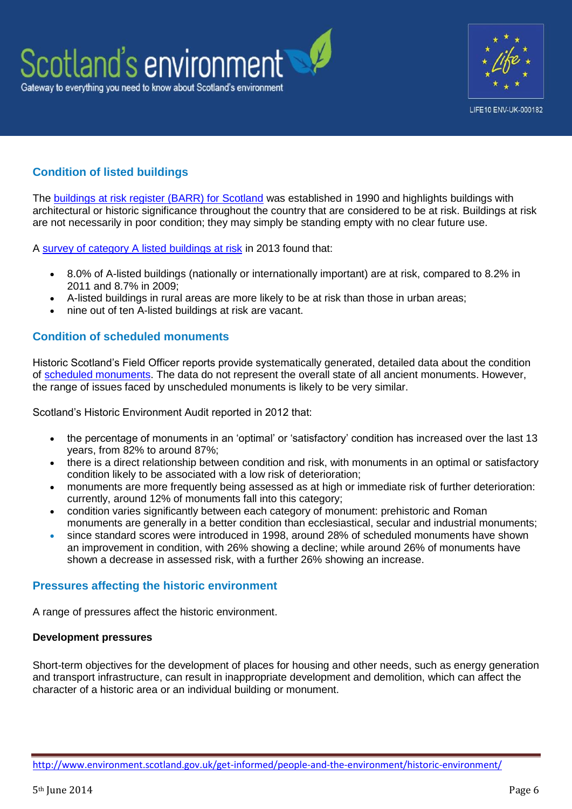



# **Condition of listed buildings**

The [buildings at risk register \(BARR\) for Scotland](http://www.buildingsatrisk.org.uk/) was established in 1990 and highlights buildings with architectural or historic significance throughout the country that are considered to be at risk. Buildings at risk are not necessarily in poor condition; they may simply be standing empty with no clear future use.

A [survey of category A listed buildings at risk](http://www.buildingsatrisk.org.uk/sites/default/files/publications/National%20Report%20BARR%202013%20-%20Final.pdf) in 2013 found that:

- 8.0% of A-listed buildings (nationally or internationally important) are at risk, compared to 8.2% in 2011 and 8.7% in 2009;
- A-listed buildings in rural areas are more likely to be at risk than those in urban areas;
- nine out of ten A-listed buildings at risk are vacant.

# **Condition of scheduled monuments**

Historic Scotland's Field Officer reports provide systematically generated, detailed data about the condition of [scheduled monuments.](http://www.historic-scotland.gov.uk/searchmonuments) The data do not represent the overall state of all ancient monuments. However, the range of issues faced by unscheduled monuments is likely to be very similar.

Scotland's Historic Environment Audit reported in 2012 that:

- the percentage of monuments in an 'optimal' or 'satisfactory' condition has increased over the last 13 years, from 82% to around 87%;
- there is a direct relationship between condition and risk, with monuments in an optimal or satisfactory condition likely to be associated with a low risk of deterioration;
- monuments are more frequently being assessed as at high or immediate risk of further deterioration: currently, around 12% of monuments fall into this category;
- condition varies significantly between each category of monument: prehistoric and Roman monuments are generally in a better condition than ecclesiastical, secular and industrial monuments;
- since standard scores were introduced in 1998, around 28% of scheduled monuments have shown an improvement in condition, with 26% showing a decline; while around 26% of monuments have shown a decrease in assessed risk, with a further 26% showing an increase.

# **Pressures affecting the historic environment**

A range of pressures affect the historic environment.

## **Development pressures**

Short-term objectives for the development of places for housing and other needs, such as energy generation and transport infrastructure, can result in inappropriate development and demolition, which can affect the character of a historic area or an individual building or monument.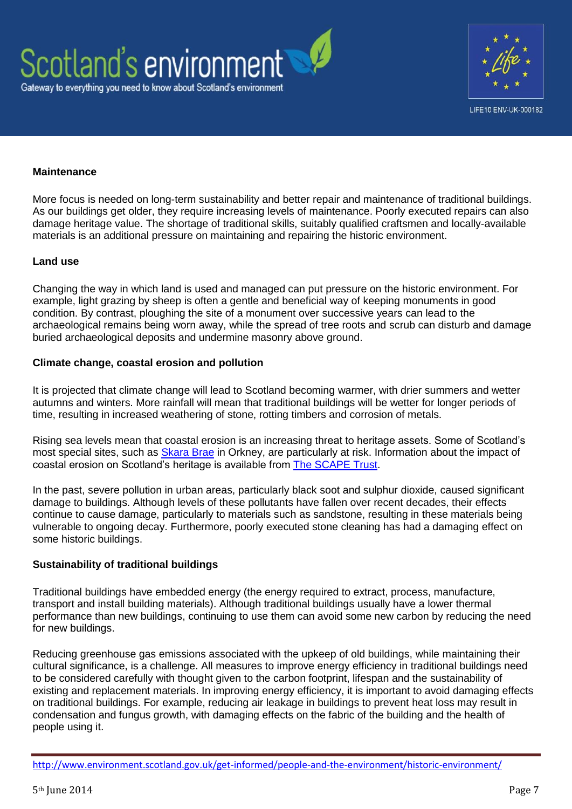



### **Maintenance**

More focus is needed on long-term sustainability and better repair and maintenance of traditional buildings. As our buildings get older, they require increasing levels of maintenance. Poorly executed repairs can also damage heritage value. The shortage of traditional skills, suitably qualified craftsmen and locally-available materials is an additional pressure on maintaining and repairing the historic environment.

#### **Land use**

Changing the way in which land is used and managed can put pressure on the historic environment. For example, light grazing by sheep is often a gentle and beneficial way of keeping monuments in good condition. By contrast, ploughing the site of a monument over successive years can lead to the archaeological remains being worn away, while the spread of tree roots and scrub can disturb and damage buried archaeological deposits and undermine masonry above ground.

#### **Climate change, coastal erosion and pollution**

It is projected that climate change will lead to Scotland becoming warmer, with drier summers and wetter autumns and winters. More rainfall will mean that traditional buildings will be wetter for longer periods of time, resulting in increased weathering of stone, rotting timbers and corrosion of metals.

Rising sea levels mean that coastal erosion is an increasing threat to heritage assets. Some of Scotland's most special sites, such as [Skara Brae](http://www.historic-scotland.gov.uk/propertyresults/propertyoverview.htm?PropID=PL_244&PropName=Skara%20Brae%20Prehistoric%20Village) in Orkney, are particularly at risk. Information about the impact of coastal erosion on Scotland's heritage is available from [The SCAPE Trust.](http://www.scapetrust.org/)

In the past, severe pollution in urban areas, particularly black soot and sulphur dioxide, caused significant damage to buildings. Although levels of these pollutants have fallen over recent decades, their effects continue to cause damage, particularly to materials such as sandstone, resulting in these materials being vulnerable to ongoing decay. Furthermore, poorly executed stone cleaning has had a damaging effect on some historic buildings.

## **Sustainability of traditional buildings**

Traditional buildings have embedded energy (the energy required to extract, process, manufacture, transport and install building materials). Although traditional buildings usually have a lower thermal performance than new buildings, continuing to use them can avoid some new carbon by reducing the need for new buildings.

Reducing greenhouse gas emissions associated with the upkeep of old buildings, while maintaining their cultural significance, is a challenge. All measures to improve energy efficiency in traditional buildings need to be considered carefully with thought given to the carbon footprint, lifespan and the sustainability of existing and replacement materials. In improving energy efficiency, it is important to avoid damaging effects on traditional buildings. For example, reducing air leakage in buildings to prevent heat loss may result in condensation and fungus growth, with damaging effects on the fabric of the building and the health of people using it.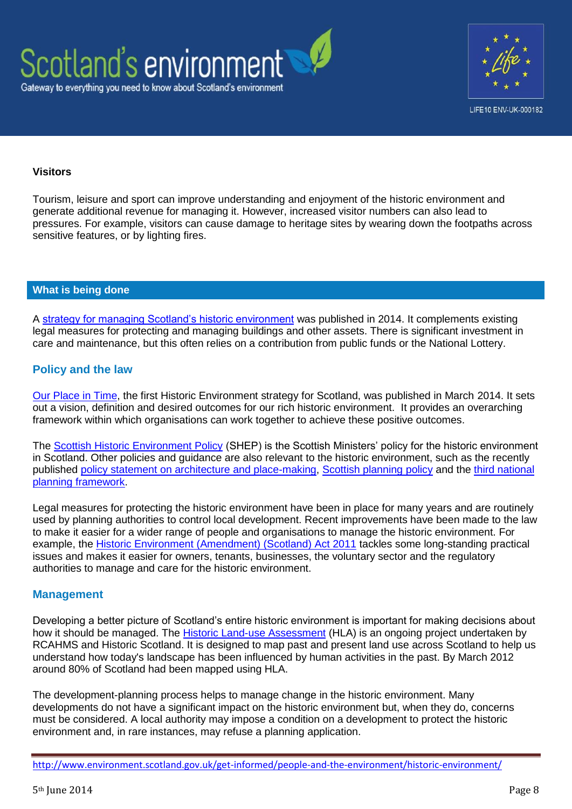



### **Visitors**

Tourism, leisure and sport can improve understanding and enjoyment of the historic environment and generate additional revenue for managing it. However, increased visitor numbers can also lead to pressures. For example, visitors can cause damage to heritage sites by wearing down the footpaths across sensitive features, or by lighting fires.

## **What is being done**

A [strategy for managing Scotland's historic environment](http://www.scotland.gov.uk/Publications/2014/03/8522) was published in 2014. It complements existing legal measures for protecting and managing buildings and other assets. There is significant investment in care and maintenance, but this often relies on a contribution from public funds or the National Lottery.

# **Policy and the law**

[Our Place in Time,](http://www.scotland.gov.uk/Publications/2014/03/8522) the first Historic Environment strategy for Scotland, was published in March 2014. It sets out a vision, definition and desired outcomes for our rich historic environment. It provides an overarching framework within which organisations can work together to achieve these positive outcomes.

The [Scottish Historic Environment Policy](http://www.historic-scotland.gov.uk/index/heritage/policy/shep.htm) (SHEP) is the Scottish Ministers' policy for the historic environment in Scotland. Other policies and guidance are also relevant to the historic environment, such as the recently published [policy statement on architecture and place-making,](http://www.scotland.gov.uk/Publications/2013/06/9811) [Scottish planning policy](http://www.scotland.gov.uk/Topics/Built-Environment/planning/Policy) and the [third national](http://www.scotland.gov.uk/Topics/Built-Environment/planning/National-Planning-Framework)  [planning framework.](http://www.scotland.gov.uk/Topics/Built-Environment/planning/National-Planning-Framework)

Legal measures for protecting the historic environment have been in place for many years and are routinely used by planning authorities to control local development. Recent improvements have been made to the law to make it easier for a wider range of people and organisations to manage the historic environment. For example, the [Historic Environment \(Amendment\) \(Scotland\) Act 2011](http://www.legislation.gov.uk/asp/2011/3/contents/enacted) tackles some long-standing practical issues and makes it easier for owners, tenants, businesses, the voluntary sector and the regulatory authorities to manage and care for the historic environment.

#### **Management**

Developing a better picture of Scotland's entire historic environment is important for making decisions about how it should be managed. The [Historic Land-use Assessment](http://hla.rcahms.gov.uk/) (HLA) is an ongoing project undertaken by RCAHMS and Historic Scotland. It is designed to map past and present land use across Scotland to help us understand how today's landscape has been influenced by human activities in the past. By March 2012 around 80% of Scotland had been mapped using HLA.

The development-planning process helps to manage change in the historic environment. Many developments do not have a significant impact on the historic environment but, when they do, concerns must be considered. A local authority may impose a condition on a development to protect the historic environment and, in rare instances, may refuse a planning application.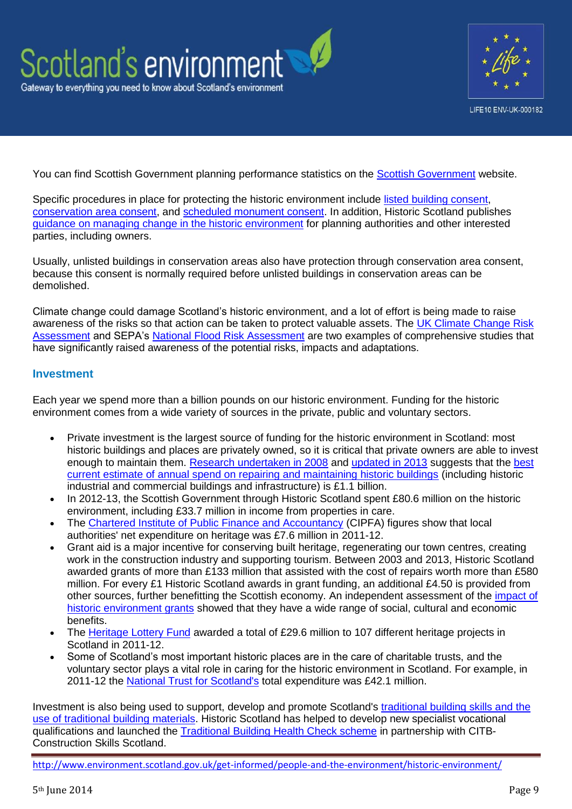



You can find Scottish Government planning performance statistics on the [Scottish Government](http://www.scotland.gov.uk/Topics/Statistics/Browse/Planning/Publications) website.

Specific procedures in place for protecting the historic environment include [listed building consent,](http://www.historic-scotland.gov.uk/index/heritage/historicandlistedbuildings/listed-building-consent.htm) [conservation area consent,](http://www.scotland.gov.uk/Topics/Built-Environment/planning/Appeals/whatwedo/planningandrelatedappeals/lbandconservationarea) and [scheduled monument consent.](http://www.historic-scotland.gov.uk/index/heritage/searchmonuments/scheduledmonumentconsentprocess.htm) In addition, Historic Scotland publishes [guidance on managing change in the historic environment](http://www.historic-scotland.gov.uk/index/heritage/policy/managingchange.htm) for planning authorities and other interested parties, including owners.

Usually, unlisted buildings in conservation areas also have protection through conservation area consent, because this consent is normally required before unlisted buildings in conservation areas can be demolished.

Climate change could damage Scotland's historic environment, and a lot of effort is being made to raise awareness of the risks so that action can be taken to protect valuable assets. The [UK Climate Change Risk](https://www.gov.uk/government/publications/uk-climate-change-risk-assessment-government-report)  [Assessment](https://www.gov.uk/government/publications/uk-climate-change-risk-assessment-government-report) and SEPA's [National Flood Risk Assessment](http://www.sepa.org.uk/flooding/flood_risk_management/national_flood_risk_assessment.aspx) are two examples of comprehensive studies that have significantly raised awareness of the potential risks, impacts and adaptations.

# **Investment**

Each year we spend more than a billion pounds on our historic environment. Funding for the historic environment comes from a wide variety of sources in the private, public and voluntary sectors.

- Private investment is the largest source of funding for the historic environment in Scotland: most historic buildings and places are privately owned, so it is critical that private owners are able to invest enough to maintain them. [Research undertaken in](http://www.heacs.org.uk/documents/2009/ecotec.pdf) 2008 and [updated in 2013](http://www.historic-scotland.gov.uk/reconomiimpact-ecorys2013.pdf) suggests that the [best](http://www.historic-scotland.gov.uk/reconomiimpact-ecorys2013.pdf)  [current estimate of annual spend on repairing and maintaining historic buildings](http://www.historic-scotland.gov.uk/reconomiimpact-ecorys2013.pdf) (including historic industrial and commercial buildings and infrastructure) is £1.1 billion.
- In 2012-13, the Scottish Government through Historic Scotland spent £80.6 million on the historic environment, including £33.7 million in income from properties in care.
- The [Chartered Institute of Public Finance and Accountancy](http://www.cipfa.org/) (CIPFA) figures show that local authorities' net expenditure on heritage was £7.6 million in 2011-12.
- Grant aid is a major incentive for conserving built heritage, regenerating our town centres, creating work in the construction industry and supporting tourism. Between 2003 and 2013, Historic Scotland awarded grants of more than £133 million that assisted with the cost of repairs worth more than £580 million. For every £1 Historic Scotland awards in grant funding, an additional £4.50 is provided from other sources, further benefitting the Scottish economy. An independent assessment of the [impact of](http://www.historic-scotland.gov.uk/grantsimpact)  [historic environment grants](http://www.historic-scotland.gov.uk/grantsimpact) showed that they have a wide range of social, cultural and economic benefits.
- The [Heritage Lottery Fund](http://www.hlf.org.uk/Pages/Home.aspx) awarded a total of £29.6 million to 107 different heritage projects in Scotland in 2011-12.
- Some of Scotland's most important historic places are in the care of charitable trusts, and the voluntary sector plays a vital role in caring for the historic environment in Scotland. For example, in 2011-12 the [National Trust for Scotland's](http://www.nts.org.uk/Home/) total expenditure was £42.1 million.

Investment is also being used to support, develop and promote Scotland's [traditional building skills and the](http://conservation.historic-scotland.gov.uk/)  [use of traditional building materials.](http://conservation.historic-scotland.gov.uk/) Historic Scotland has helped to develop new specialist vocational qualifications and launched the [Traditional Building Health Check scheme](http://conservation.historic-scotland.gov.uk/healthcheckscheme) in partnership with CITB-Construction Skills Scotland.